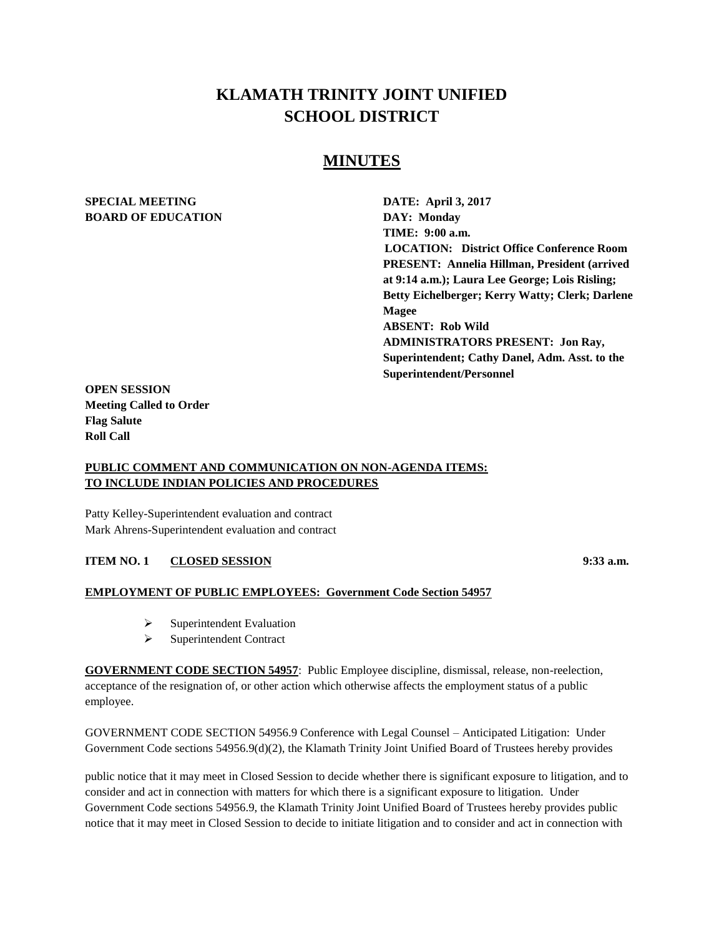# **KLAMATH TRINITY JOINT UNIFIED SCHOOL DISTRICT**

## **MINUTES**

### **SPECIAL MEETING DATE: April 3, 2017 BOARD OF EDUCATION DAY: Monday**

**TIME: 9:00 a.m. LOCATION: District Office Conference Room PRESENT: Annelia Hillman, President (arrived at 9:14 a.m.); Laura Lee George; Lois Risling; Betty Eichelberger; Kerry Watty; Clerk; Darlene Magee ABSENT: Rob Wild ADMINISTRATORS PRESENT: Jon Ray, Superintendent; Cathy Danel, Adm. Asst. to the Superintendent/Personnel** 

**OPEN SESSION Meeting Called to Order Flag Salute Roll Call**

#### **PUBLIC COMMENT AND COMMUNICATION ON NON-AGENDA ITEMS: TO INCLUDE INDIAN POLICIES AND PROCEDURES**

Patty Kelley-Superintendent evaluation and contract Mark Ahrens-Superintendent evaluation and contract

#### **ITEM NO. 1 CLOSED SESSION** 9:33 a.m.

#### **EMPLOYMENT OF PUBLIC EMPLOYEES: Government Code Section 54957**

- $\triangleright$  Superintendent Evaluation
- $\triangleright$  Superintendent Contract

**GOVERNMENT CODE SECTION 54957**: Public Employee discipline, dismissal, release, non-reelection, acceptance of the resignation of, or other action which otherwise affects the employment status of a public employee.

GOVERNMENT CODE SECTION 54956.9 Conference with Legal Counsel – Anticipated Litigation: Under Government Code sections 54956.9(d)(2), the Klamath Trinity Joint Unified Board of Trustees hereby provides

public notice that it may meet in Closed Session to decide whether there is significant exposure to litigation, and to consider and act in connection with matters for which there is a significant exposure to litigation. Under Government Code sections 54956.9, the Klamath Trinity Joint Unified Board of Trustees hereby provides public notice that it may meet in Closed Session to decide to initiate litigation and to consider and act in connection with